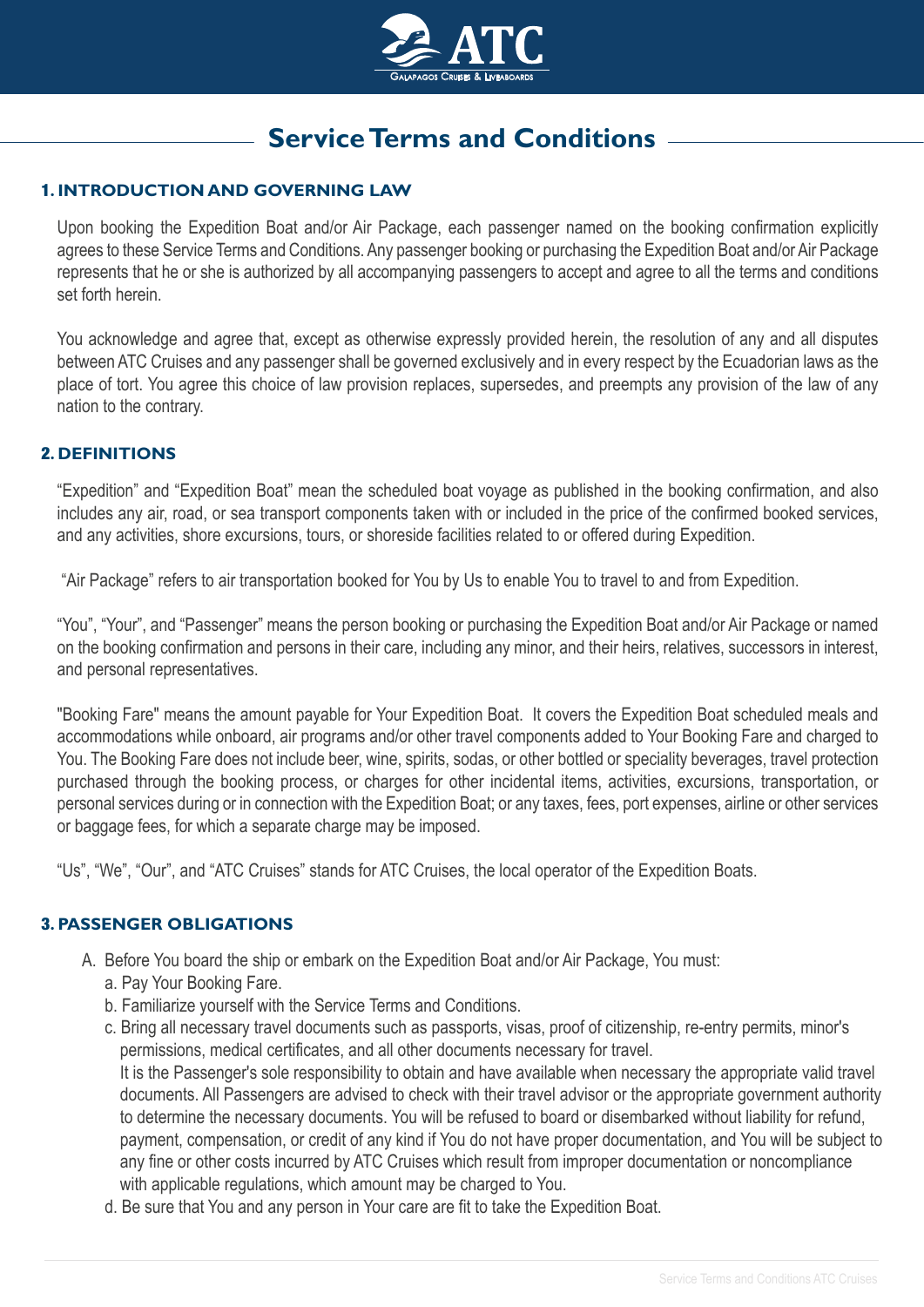

# **Service Terms and Conditions**

# 1**. INTRODUCTION AND GOVERNING LAW**

Upon booking the Expedition Boat and/or Air Package, each passenger named on the booking confirmation explicitly agrees to these Service Terms and Conditions. Any passenger booking or purchasing the Expedition Boat and/or Air Package represents that he or she is authorized by all accompanying passengers to accept and agree to all the terms and conditions set forth herein.

You acknowledge and agree that, except as otherwise expressly provided herein, the resolution of any and all disputes between ATC Cruises and any passenger shall be governed exclusively and in every respect by the Ecuadorian laws as the place of tort. You agree this choice of law provision replaces, supersedes, and preempts any provision of the law of any nation to the contrary.

#### 2**. DEFINITIONS**

"Expedition" and "Expedition Boat" mean the scheduled boat voyage as published in the booking confirmation, and also includes any air, road, or sea transport components taken with or included in the price of the confirmed booked services, and any activities, shore excursions, tours, or shoreside facilities related to or offered during Expedition.

"Air Package" refers to air transportation booked for You by Us to enable You to travel to and from Expedition.

"You", "Your", and "Passenger" means the person booking or purchasing the Expedition Boat and/or Air Package or named on the booking confirmation and persons in their care, including any minor, and their heirs, relatives, successors in interest, and personal representatives.

"Booking Fare" means the amount payable for Your Expedition Boat. It covers the Expedition Boat scheduled meals and accommodations while onboard, air programs and/or other travel components added to Your Booking Fare and charged to You. The Booking Fare does not include beer, wine, spirits, sodas, or other bottled or speciality beverages, travel protection purchased through the booking process, or charges for other incidental items, activities, excursions, transportation, or personal services during or in connection with the Expedition Boat; or any taxes, fees, port expenses, airline or other services or baggage fees, for which a separate charge may be imposed.

"Us", "We", "Our", and "ATC Cruises" stands for ATC Cruises, the local operator of the Expedition Boats.

#### 3**. PASSENGER OBLIGATIONS**

- A. Before You board the ship or embark on the Expedition Boat and/or Air Package, You must:
	- a. Pay Your Booking Fare.
	- b. Familiarize yourself with the Service Terms and Conditions.
	- c. Bring all necessary travel documents such as passports, visas, proof of citizenship, re-entry permits, minor's permissions, medical certificates, and all other documents necessary for travel.

 It is the Passenger's sole responsibility to obtain and have available when necessary the appropriate valid travel documents. All Passengers are advised to check with their travel advisor or the appropriate government authority to determine the necessary documents. You will be refused to board or disembarked without liability for refund, payment, compensation, or credit of any kind if You do not have proper documentation, and You will be subject to any fine or other costs incurred by ATC Cruises which result from improper documentation or noncompliance with applicable regulations, which amount may be charged to You.

d. Be sure that You and any person in Your care are fit to take the Expedition Boat.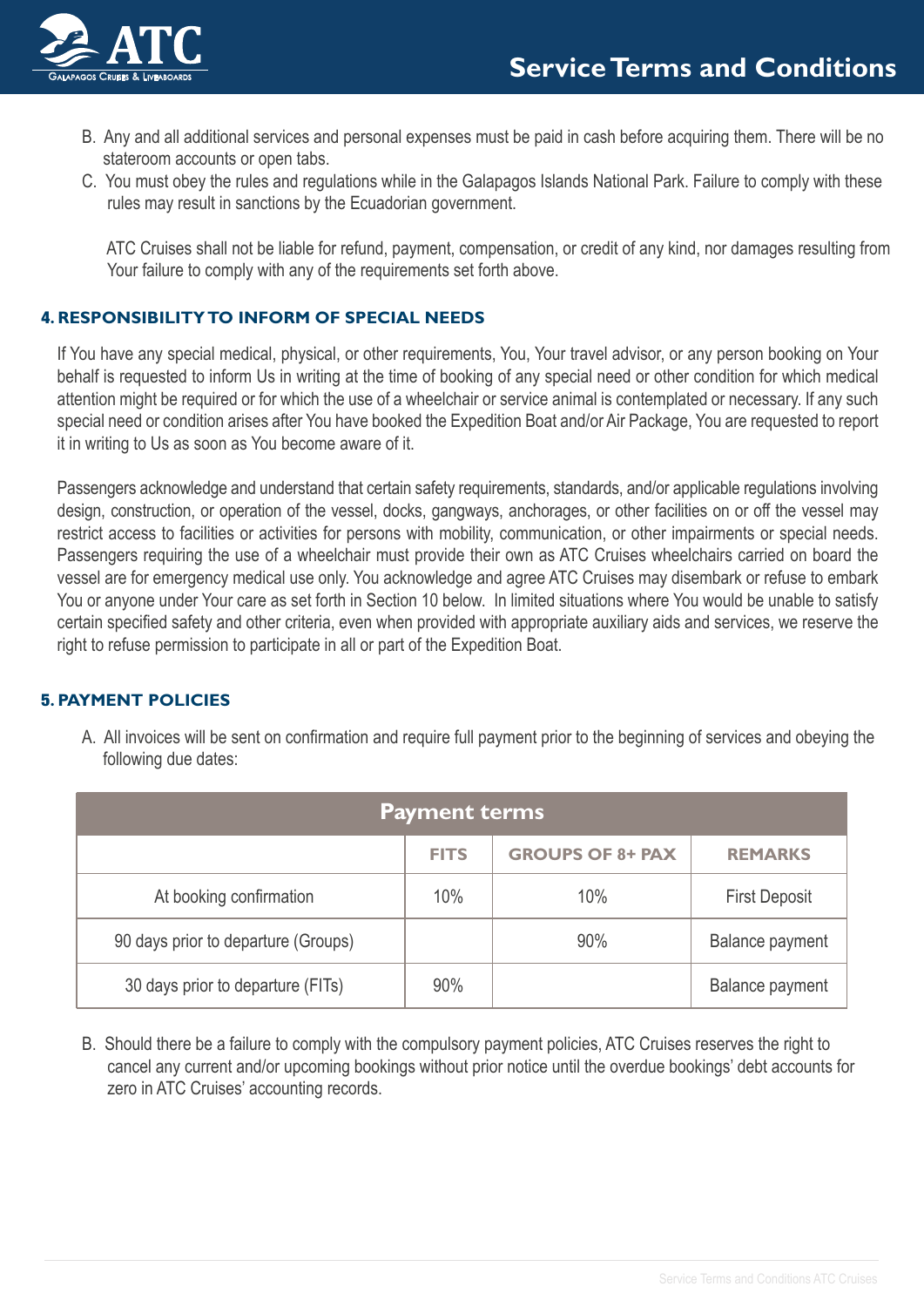

- B. Any and all additional services and personal expenses must be paid in cash before acquiring them. There will be no stateroom accounts or open tabs.
- C. You must obey the rules and regulations while in the Galapagos Islands National Park. Failure to comply with these rules may result in sanctions by the Ecuadorian government.

 ATC Cruises shall not be liable for refund, payment, compensation, or credit of any kind, nor damages resulting from Your failure to comply with any of the requirements set forth above.

# 4**. RESPONSIBILITY TO INFORM OF SPECIAL NEEDS**

If You have any special medical, physical, or other requirements, You, Your travel advisor, or any person booking on Your behalf is requested to inform Us in writing at the time of booking of any special need or other condition for which medical attention might be required or for which the use of a wheelchair or service animal is contemplated or necessary. If any such special need or condition arises after You have booked the Expedition Boat and/or Air Package, You are requested to report it in writing to Us as soon as You become aware of it.

Passengers acknowledge and understand that certain safety requirements, standards, and/or applicable regulations involving design, construction, or operation of the vessel, docks, gangways, anchorages, or other facilities on or off the vessel may restrict access to facilities or activities for persons with mobility, communication, or other impairments or special needs. Passengers requiring the use of a wheelchair must provide their own as ATC Cruises wheelchairs carried on board the vessel are for emergency medical use only. You acknowledge and agree ATC Cruises may disembark or refuse to embark You or anyone under Your care as set forth in Section 10 below. In limited situations where You would be unable to satisfy certain specified safety and other criteria, even when provided with appropriate auxiliary aids and services, we reserve the right to refuse permission to participate in all or part of the Expedition Boat.

# 5**. PAYMENT POLICIES**

| <b>Payment terms</b>                |             |                         |                        |  |
|-------------------------------------|-------------|-------------------------|------------------------|--|
|                                     | <b>FITS</b> | <b>GROUPS OF 8+ PAX</b> | <b>REMARKS</b>         |  |
| At booking confirmation             | 10%         | 10%                     | <b>First Deposit</b>   |  |
| 90 days prior to departure (Groups) |             | 90%                     | <b>Balance payment</b> |  |
| 30 days prior to departure (FITs)   | 90%         |                         | <b>Balance payment</b> |  |

A. All invoices will be sent on confirmation and require full payment prior to the beginning of services and obeying the following due dates:

B. Should there be a failure to comply with the compulsory payment policies, ATC Cruises reserves the right to cancel any current and/or upcoming bookings without prior notice until the overdue bookings' debt accounts for zero in ATC Cruises' accounting records.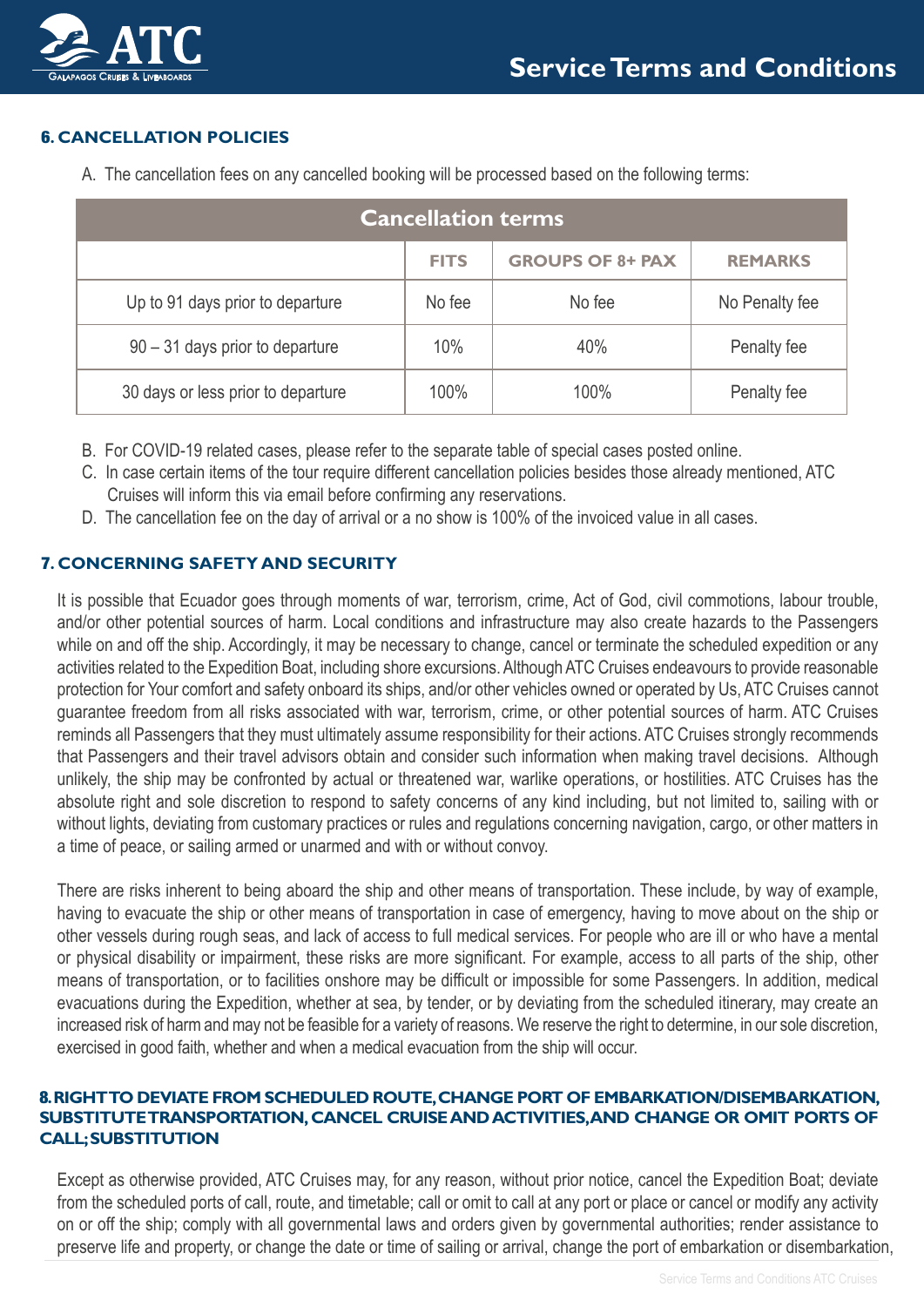

# 6**. CANCELLATION POLICIES**

A. The cancellation fees on any cancelled booking will be processed based on the following terms:

| <b>Cancellation terms</b>          |             |                         |                |  |
|------------------------------------|-------------|-------------------------|----------------|--|
|                                    | <b>FITS</b> | <b>GROUPS OF 8+ PAX</b> | <b>REMARKS</b> |  |
| Up to 91 days prior to departure   | No fee      | No fee                  | No Penalty fee |  |
| $90 - 31$ days prior to departure  | 10%         | 40%                     | Penalty fee    |  |
| 30 days or less prior to departure | 100%        | 100%                    | Penalty fee    |  |

- B. For COVID-19 related cases, please refer to the separate table of special cases posted online.
- C. In case certain items of the tour require different cancellation policies besides those already mentioned, ATC Cruises will inform this via email before confirming any reservations.
- D. The cancellation fee on the day of arrival or a no show is 100% of the invoiced value in all cases.

## 7**. CONCERNING SAFETY AND SECURITY**

It is possible that Ecuador goes through moments of war, terrorism, crime, Act of God, civil commotions, labour trouble, and/or other potential sources of harm. Local conditions and infrastructure may also create hazards to the Passengers while on and off the ship. Accordingly, it may be necessary to change, cancel or terminate the scheduled expedition or any activities related to the Expedition Boat, including shore excursions. Although ATC Cruises endeavours to provide reasonable protection for Your comfort and safety onboard its ships, and/or other vehicles owned or operated by Us, ATC Cruises cannot guarantee freedom from all risks associated with war, terrorism, crime, or other potential sources of harm. ATC Cruises reminds all Passengers that they must ultimately assume responsibility for their actions. ATC Cruises strongly recommends that Passengers and their travel advisors obtain and consider such information when making travel decisions. Although unlikely, the ship may be confronted by actual or threatened war, warlike operations, or hostilities. ATC Cruises has the absolute right and sole discretion to respond to safety concerns of any kind including, but not limited to, sailing with or without lights, deviating from customary practices or rules and regulations concerning navigation, cargo, or other matters in a time of peace, or sailing armed or unarmed and with or without convoy.

There are risks inherent to being aboard the ship and other means of transportation. These include, by way of example, having to evacuate the ship or other means of transportation in case of emergency, having to move about on the ship or other vessels during rough seas, and lack of access to full medical services. For people who are ill or who have a mental or physical disability or impairment, these risks are more significant. For example, access to all parts of the ship, other means of transportation, or to facilities onshore may be difficult or impossible for some Passengers. In addition, medical evacuations during the Expedition, whether at sea, by tender, or by deviating from the scheduled itinerary, may create an increased risk of harm and may not be feasible for a variety of reasons. We reserve the right to determine, in our sole discretion, exercised in good faith, whether and when a medical evacuation from the ship will occur.

#### 8**. RIGHT TO DEVIATE FROM SCHEDULED ROUTE, CHANGE PORT OF EMBARKATION/DISEMBARKATION, SUBSTITUTE TRANSPORTATION, CANCEL CRUISE AND ACTIVITIES, AND CHANGE OR OMIT PORTS OF CALL; SUBSTITUTION**

Except as otherwise provided, ATC Cruises may, for any reason, without prior notice, cancel the Expedition Boat; deviate from the scheduled ports of call, route, and timetable; call or omit to call at any port or place or cancel or modify any activity on or off the ship; comply with all governmental laws and orders given by governmental authorities; render assistance to preserve life and property, or change the date or time of sailing or arrival, change the port of embarkation or disembarkation,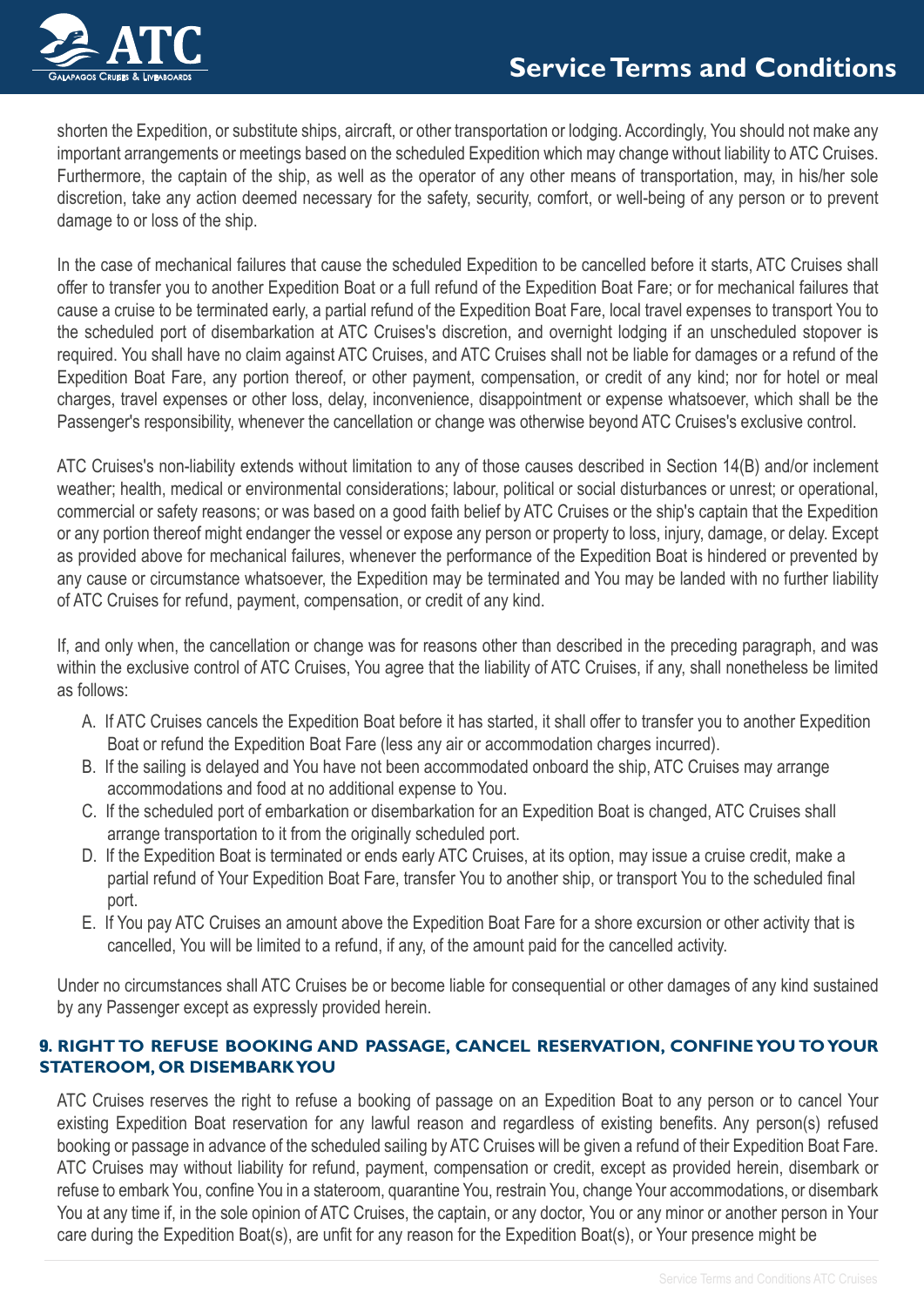

shorten the Expedition, or substitute ships, aircraft, or other transportation or lodging. Accordingly, You should not make any important arrangements or meetings based on the scheduled Expedition which may change without liability to ATC Cruises. Furthermore, the captain of the ship, as well as the operator of any other means of transportation, may, in his/her sole discretion, take any action deemed necessary for the safety, security, comfort, or well-being of any person or to prevent damage to or loss of the ship.

In the case of mechanical failures that cause the scheduled Expedition to be cancelled before it starts, ATC Cruises shall offer to transfer you to another Expedition Boat or a full refund of the Expedition Boat Fare; or for mechanical failures that cause a cruise to be terminated early, a partial refund of the Expedition Boat Fare, local travel expenses to transport You to the scheduled port of disembarkation at ATC Cruises's discretion, and overnight lodging if an unscheduled stopover is required. You shall have no claim against ATC Cruises, and ATC Cruises shall not be liable for damages or a refund of the Expedition Boat Fare, any portion thereof, or other payment, compensation, or credit of any kind; nor for hotel or meal charges, travel expenses or other loss, delay, inconvenience, disappointment or expense whatsoever, which shall be the Passenger's responsibility, whenever the cancellation or change was otherwise beyond ATC Cruises's exclusive control.

ATC Cruises's non-liability extends without limitation to any of those causes described in Section 14(B) and/or inclement weather; health, medical or environmental considerations; labour, political or social disturbances or unrest; or operational, commercial or safety reasons; or was based on a good faith belief by ATC Cruises or the ship's captain that the Expedition or any portion thereof might endanger the vessel or expose any person or property to loss, injury, damage, or delay. Except as provided above for mechanical failures, whenever the performance of the Expedition Boat is hindered or prevented by any cause or circumstance whatsoever, the Expedition may be terminated and You may be landed with no further liability of ATC Cruises for refund, payment, compensation, or credit of any kind.

If, and only when, the cancellation or change was for reasons other than described in the preceding paragraph, and was within the exclusive control of ATC Cruises, You agree that the liability of ATC Cruises, if any, shall nonetheless be limited as follows:

- A. If ATC Cruises cancels the Expedition Boat before it has started, it shall offer to transfer you to another Expedition Boat or refund the Expedition Boat Fare (less any air or accommodation charges incurred).
- B. If the sailing is delayed and You have not been accommodated onboard the ship, ATC Cruises may arrange accommodations and food at no additional expense to You.
- C. If the scheduled port of embarkation or disembarkation for an Expedition Boat is changed, ATC Cruises shall arrange transportation to it from the originally scheduled port.
- D. If the Expedition Boat is terminated or ends early ATC Cruises, at its option, may issue a cruise credit, make a partial refund of Your Expedition Boat Fare, transfer You to another ship, or transport You to the scheduled final port.
- E. If You pay ATC Cruises an amount above the Expedition Boat Fare for a shore excursion or other activity that is cancelled, You will be limited to a refund, if any, of the amount paid for the cancelled activity.

Under no circumstances shall ATC Cruises be or become liable for consequential or other damages of any kind sustained by any Passenger except as expressly provided herein.

# 9**. RIGHT TO REFUSE BOOKING AND PASSAGE, CANCEL RESERVATION, CONFINE YOU TO YOUR STATEROOM, OR DISEMBARK YOU**

ATC Cruises reserves the right to refuse a booking of passage on an Expedition Boat to any person or to cancel Your existing Expedition Boat reservation for any lawful reason and regardless of existing benefits. Any person(s) refused booking or passage in advance of the scheduled sailing by ATC Cruises will be given a refund of their Expedition Boat Fare. ATC Cruises may without liability for refund, payment, compensation or credit, except as provided herein, disembark or refuse to embark You, confine You in a stateroom, quarantine You, restrain You, change Your accommodations, or disembark You at any time if, in the sole opinion of ATC Cruises, the captain, or any doctor, You or any minor or another person in Your care during the Expedition Boat(s), are unfit for any reason for the Expedition Boat(s), or Your presence might be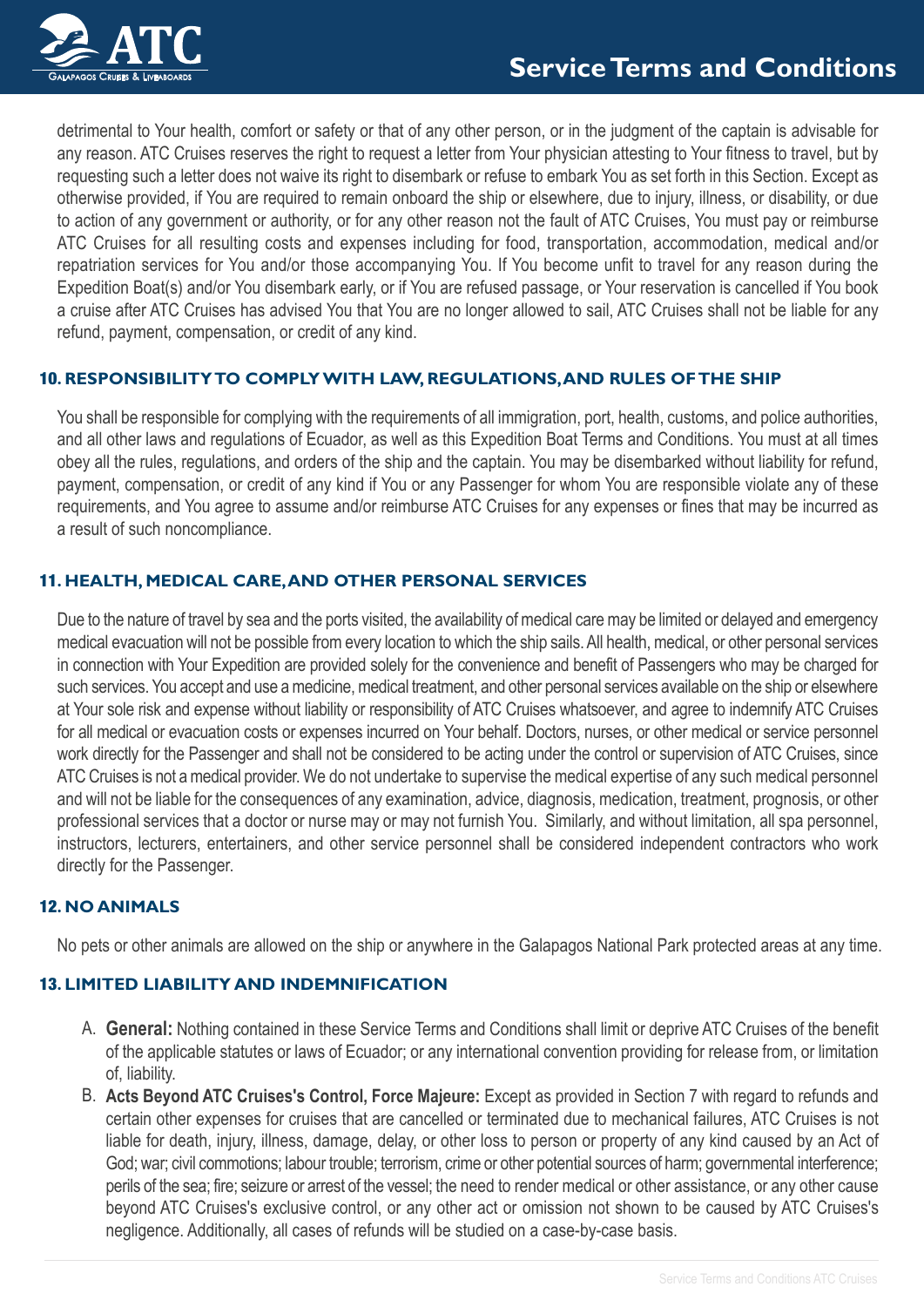

detrimental to Your health, comfort or safety or that of any other person, or in the judgment of the captain is advisable for any reason. ATC Cruises reserves the right to request a letter from Your physician attesting to Your fitness to travel, but by requesting such a letter does not waive its right to disembark or refuse to embark You as set forth in this Section. Except as otherwise provided, if You are required to remain onboard the ship or elsewhere, due to injury, illness, or disability, or due to action of any government or authority, or for any other reason not the fault of ATC Cruises, You must pay or reimburse ATC Cruises for all resulting costs and expenses including for food, transportation, accommodation, medical and/or repatriation services for You and/or those accompanying You. If You become unfit to travel for any reason during the Expedition Boat(s) and/or You disembark early, or if You are refused passage, or Your reservation is cancelled if You book a cruise after ATC Cruises has advised You that You are no longer allowed to sail, ATC Cruises shall not be liable for any refund, payment, compensation, or credit of any kind.

## 10**. RESPONSIBILITY TO COMPLY WITH LAW, REGULATIONS, AND RULES OF THE SHIP**

You shall be responsible for complying with the requirements of all immigration, port, health, customs, and police authorities, and all other laws and regulations of Ecuador, as well as this Expedition Boat Terms and Conditions. You must at all times obey all the rules, regulations, and orders of the ship and the captain. You may be disembarked without liability for refund, payment, compensation, or credit of any kind if You or any Passenger for whom You are responsible violate any of these requirements, and You agree to assume and/or reimburse ATC Cruises for any expenses or fines that may be incurred as a result of such noncompliance.

## 11**. HEALTH, MEDICAL CARE, AND OTHER PERSONAL SERVICES**

Due to the nature of travel by sea and the ports visited, the availability of medical care may be limited or delayed and emergency medical evacuation will not be possible from every location to which the ship sails. All health, medical, or other personal services in connection with Your Expedition are provided solely for the convenience and benefit of Passengers who may be charged for such services. You accept and use a medicine, medical treatment, and other personal services available on the ship or elsewhere at Your sole risk and expense without liability or responsibility of ATC Cruises whatsoever, and agree to indemnify ATC Cruises for all medical or evacuation costs or expenses incurred on Your behalf. Doctors, nurses, or other medical or service personnel work directly for the Passenger and shall not be considered to be acting under the control or supervision of ATC Cruises, since ATC Cruises is not a medical provider. We do not undertake to supervise the medical expertise of any such medical personnel and will not be liable for the consequences of any examination, advice, diagnosis, medication, treatment, prognosis, or other professional services that a doctor or nurse may or may not furnish You. Similarly, and without limitation, all spa personnel, instructors, lecturers, entertainers, and other service personnel shall be considered independent contractors who work directly for the Passenger.

#### 12**. NO ANIMALS**

No pets or other animals are allowed on the ship or anywhere in the Galapagos National Park protected areas at any time.

#### 13**. LIMITED LIABILITY AND INDEMNIFICATION**

- A. **General:** Nothing contained in these Service Terms and Conditions shall limit or deprive ATC Cruises of the benefit of the applicable statutes or laws of Ecuador; or any international convention providing for release from, or limitation of, liability.
- B. **Acts Beyond ATC Cruises's Control, Force Majeure:** Except as provided in Section 7 with regard to refunds and certain other expenses for cruises that are cancelled or terminated due to mechanical failures, ATC Cruises is not liable for death, injury, illness, damage, delay, or other loss to person or property of any kind caused by an Act of God; war; civil commotions; labour trouble; terrorism, crime or other potential sources of harm; governmental interference; perils of the sea; fire; seizure or arrest of the vessel; the need to render medical or other assistance, or any other cause beyond ATC Cruises's exclusive control, or any other act or omission not shown to be caused by ATC Cruises's negligence. Additionally, all cases of refunds will be studied on a case-by-case basis.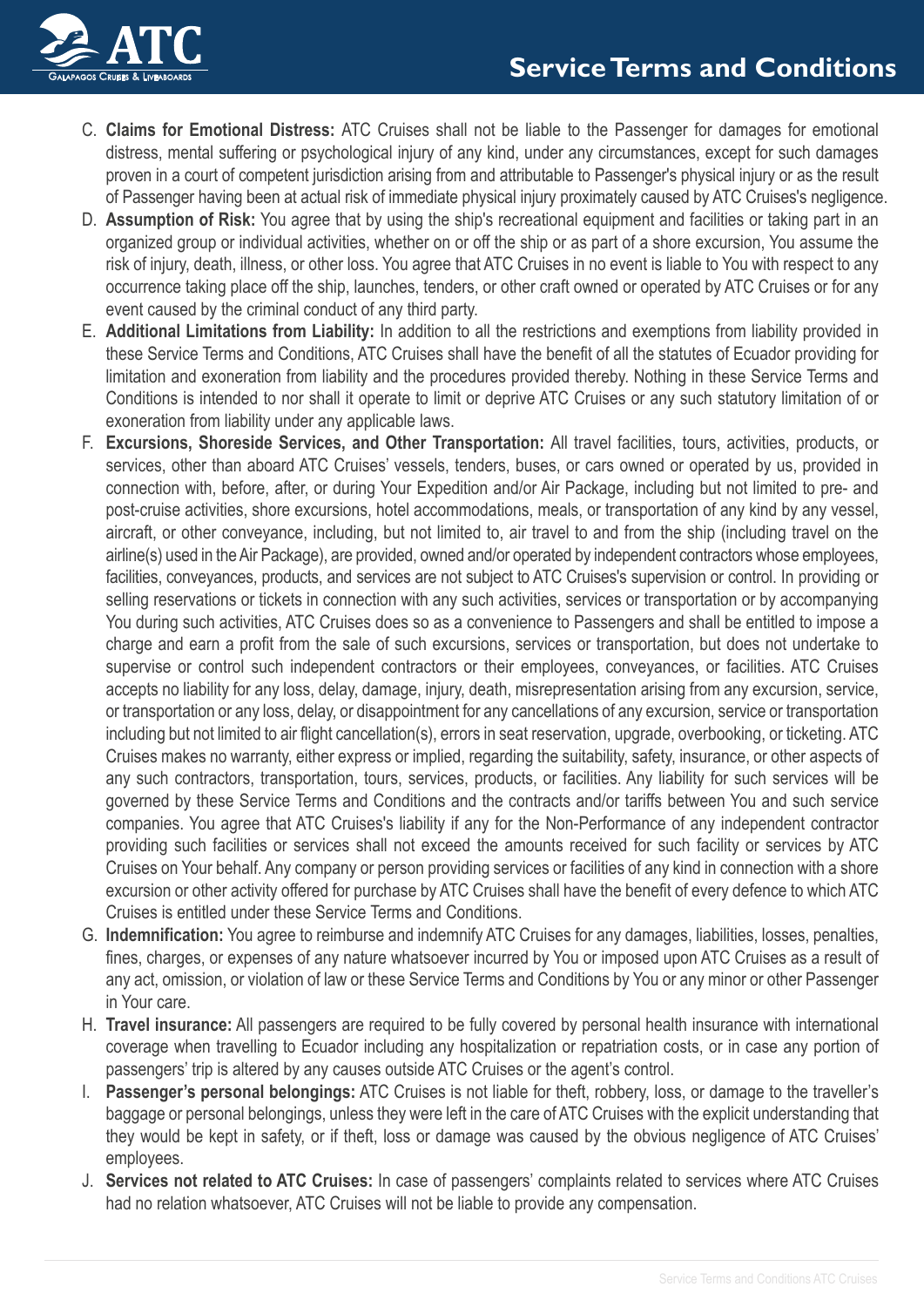

- C. **Claims for Emotional Distress:** ATC Cruises shall not be liable to the Passenger for damages for emotional distress, mental suffering or psychological injury of any kind, under any circumstances, except for such damages proven in a court of competent jurisdiction arising from and attributable to Passenger's physical injury or as the result of Passenger having been at actual risk of immediate physical injury proximately caused by ATC Cruises's negligence.
- D. **Assumption of Risk:** You agree that by using the ship's recreational equipment and facilities or taking part in an organized group or individual activities, whether on or off the ship or as part of a shore excursion, You assume the risk of injury, death, illness, or other loss. You agree that ATC Cruises in no event is liable to You with respect to any occurrence taking place off the ship, launches, tenders, or other craft owned or operated by ATC Cruises or for any event caused by the criminal conduct of any third party.
- E. **Additional Limitations from Liability:** In addition to all the restrictions and exemptions from liability provided in these Service Terms and Conditions, ATC Cruises shall have the benefit of all the statutes of Ecuador providing for limitation and exoneration from liability and the procedures provided thereby. Nothing in these Service Terms and Conditions is intended to nor shall it operate to limit or deprive ATC Cruises or any such statutory limitation of or exoneration from liability under any applicable laws.
- F. **Excursions, Shoreside Services, and Other Transportation:** All travel facilities, tours, activities, products, or services, other than aboard ATC Cruises' vessels, tenders, buses, or cars owned or operated by us, provided in connection with, before, after, or during Your Expedition and/or Air Package, including but not limited to pre- and post-cruise activities, shore excursions, hotel accommodations, meals, or transportation of any kind by any vessel, aircraft, or other conveyance, including, but not limited to, air travel to and from the ship (including travel on the airline(s) used in the Air Package), are provided, owned and/or operated by independent contractors whose employees, facilities, conveyances, products, and services are not subject to ATC Cruises's supervision or control. In providing or selling reservations or tickets in connection with any such activities, services or transportation or by accompanying You during such activities, ATC Cruises does so as a convenience to Passengers and shall be entitled to impose a charge and earn a profit from the sale of such excursions, services or transportation, but does not undertake to supervise or control such independent contractors or their employees, conveyances, or facilities. ATC Cruises accepts no liability for any loss, delay, damage, injury, death, misrepresentation arising from any excursion, service, or transportation or any loss, delay, or disappointment for any cancellations of any excursion, service or transportation including but not limited to air flight cancellation(s), errors in seat reservation, upgrade, overbooking, or ticketing. ATC Cruises makes no warranty, either express or implied, regarding the suitability, safety, insurance, or other aspects of any such contractors, transportation, tours, services, products, or facilities. Any liability for such services will be governed by these Service Terms and Conditions and the contracts and/or tariffs between You and such service companies. You agree that ATC Cruises's liability if any for the Non-Performance of any independent contractor providing such facilities or services shall not exceed the amounts received for such facility or services by ATC Cruises on Your behalf. Any company or person providing services or facilities of any kind in connection with a shore excursion or other activity offered for purchase by ATC Cruises shall have the benefit of every defence to which ATC Cruises is entitled under these Service Terms and Conditions.
- G. **Indemnification:** You agree to reimburse and indemnify ATC Cruises for any damages, liabilities, losses, penalties, fines, charges, or expenses of any nature whatsoever incurred by You or imposed upon ATC Cruises as a result of any act, omission, or violation of law or these Service Terms and Conditions by You or any minor or other Passenger in Your care.
- H. **Travel insurance:** All passengers are required to be fully covered by personal health insurance with international coverage when travelling to Ecuador including any hospitalization or repatriation costs, or in case any portion of passengers' trip is altered by any causes outside ATC Cruises or the agent's control.
- I. **Passenger's personal belongings:** ATC Cruises is not liable for theft, robbery, loss, or damage to the traveller's baggage or personal belongings, unless they were left in the care of ATC Cruises with the explicit understanding that they would be kept in safety, or if theft, loss or damage was caused by the obvious negligence of ATC Cruises' employees.
- J. **Services not related to ATC Cruises:** In case of passengers' complaints related to services where ATC Cruises had no relation whatsoever, ATC Cruises will not be liable to provide any compensation.